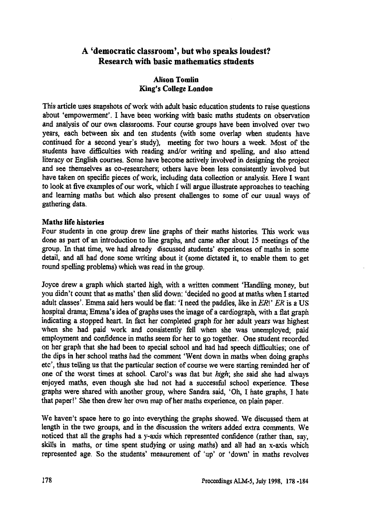# **A 'democratic classroom', but who speaks loudest? Research with basic mathematics students**

## **Alison Tomlin King's College London**

**This article uses snapshots of work with adult basic education students to raise questions about 'empowerment'. I have been working with basic maths students on observation and analysis of our own classrooms. Four course groups have been involved over two years, each between six and ten students (with some overlap when students have continued for a second year's study), meeting for two hours a week. Most of the students have difficulties with reading and/or writing and spelling, and also attend literacy or English courses. Some have become actively involved in designing the project and see themselves as co-researchers; others have been less consistently involved but have taken on specific pieces of work, including data collection or analysis. Here I want to look at five examples of our work, which I will argue illustrate approaches to teaching and learning maths but which also present challenges to some of our usual ways of gathering data.**

## **Maths life histories**

**Four students in one group drew line graphs of their maths histories. This work was done as part of an introduction to line graphs, and came after about 15 meetings of the group. In that time, we had already discussed students' experiences of maths in some detail, and all had done some writing about it (some dictated it, to enable them to get round spelling problems) which was read in the group.**

**Joyce drew a graph which started high, with a written comment 'Handling money, but you didn't count that as maths' then slid down: 'decided no good at maths when I started adult classes'. Emma said hers would be flat: 'I need the paddles, like in** *ER!' ER* **is a US hospital drama; Emma's idea of graphs uses the image of a cardiograph, with a flat graph indicating a stopped heart. In fact her completed graph for her adult years was highest when she had paid work and consistently fell when she was unemployed; paid employment and confidence in maths seem for her to go together. One student recorded on her graph that she had been to special school and had had speech difficulties; one of the dips in her school maths had the comment 'Went down in maths when doing graphs etc', thus telling us that the particular section of course we were starting reminded her of one of the worst times at school. Carol's was flat but** *high;* **she said she had always enjoyed maths, even though she had not had a successful school experience. These graphs were shared with another group, where Sandra said, 'Oh, I hate graphs, I hate that paper!' She then drew her own map of her maths experience, on plain paper.**

**We haven't space here to go into everything the graphs showed. We discussed them at length in the two groups, and in the discussion the writers added extra comments. We noticed that all the graphs had a y-axis which represented confidence (rather than, say, skills in maths, or time spent studying or using maths) and all had an x-axis which represented age. So the students' measurement of `up' or 'down' in maths revolves**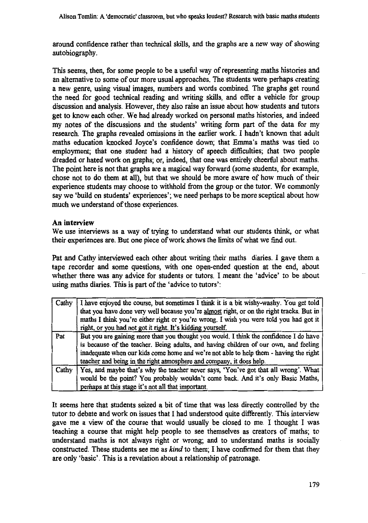**around confidence rather than technical skills, and the graphs are a new way of showing autobiography.**

**This seems, then, for some people to be a useful way of representing maths histories and an alternative to some of our more usual approaches. The students were perhaps creating a new genre, using visual images, numbers and words combined. The graphs get round the need for good technical reading and writing skills, and offer a vehicle for group discussion and analysis. However, they also raise an issue about how students and tutors get to know each other. We had already worked on personal maths histories, and indeed my notes of the discussions and the students' writing form part of the data for my research. The graphs revealed omissions in the earlier work. I hadn't known that adult maths education knocked Joyce's confidence down; that Emma's maths was tied to employment; that one student had a history of speech difficulties; that two people dreaded or hated work on graphs; or, indeed, that one was entirely cheerful about maths. The point here is not that graphs are a magical way forward (some students, for example, chose not to do them at all), but that we should be more aware of how much of their experience students may choose to withhold from the group or the tutor. We commonly say we 'build on students' experiences'; we need perhaps to be more sceptical about how much we understand of those experiences.**

## **An interview**

**We use interviews as a way of trying to understand what our students think, or what their experiences are. But one piece of work shows the limits of what we find out.**

**Pat and Cathy interviewed each other about writing their maths diaries. I gave them a tape recorder and some questions, with one open-ended question at the end, about whether there was any advice for students or tutors. I meant the 'advice' to be about using maths diaries. This is part of the 'advice to tutors':**

| Cathy | I have enjoyed the course, but sometimes I think it is a bit wishy-washy. You get told   |
|-------|------------------------------------------------------------------------------------------|
|       | that you have done very well because you're almost right, or on the right tracks. But in |
|       | maths I think you're either right or you're wrong. I wish you were told you had got it   |
|       | right, or you had not got it right. It's kidding yourself.                               |
| Pat   | But you are gaining more than you thought you would. I think the confidence I do have    |
|       | is because of the teacher. Being adults, and having children of our own, and feeling     |
|       | inadequate when our kids come home and we're not able to help them - having the right    |
|       | teacher and being in the right atmosphere and company, it does help.                     |
| Cathy | Yes, and maybe that's why the teacher never says, 'You've got that all wrong'. What      |
|       | would be the point? You probably wouldn't come back. And it's only Basic Maths,          |
|       | perhaps at this stage it's not all that important.                                       |

**It seems here that students seized a bit of time that was less directly controlled by the tutor to debate and work on issues that I had understood quite differently. This interview gave me a view of the course that would usually be closed to me. I thought I was teaching a course that might help people to see themselves as creators of maths; to understand maths is not always right or wrong; and to understand maths is socially constructed. These students see me as** *kind* **to them; I have confirmed for them that they are only 'basic'. This is a revelation about a relationship of patronage.**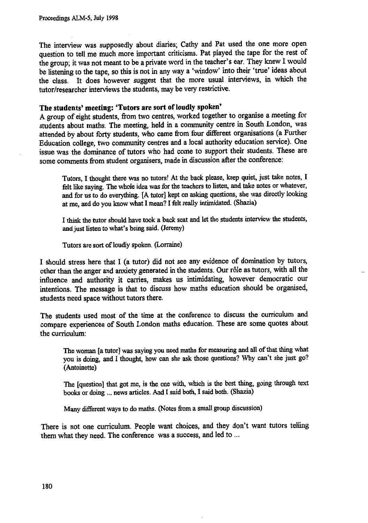The interview was supposedly about diaries; Cathy and Pat used the one more open question to tell me much more important criticisms. Pat played the tape for the rest of the group; it was not meant to be a private word in the teacher's ear. They knew **I** would be listening to the tape, so this is not in any way a 'window' into their 'true' ideas about the class. It does however suggest that the more usual interviews, in which the tutor/researcher interviews the students, may be very restrictive.

#### **The students' meeting: 'Tutors are sort of loudly spoken'**

A group of eight students, from two centres, worked together to organise a meeting for students about maths. The meeting, held in a community centre in South London, was attended by about forty students, who came from four different organisations (a Further Education college, two community centres and a local authority education service). One issue was the dominance of tutors who had come to support their students. These are some comments from student organisers, made in discussion after the conference:

Tutors, I **thought there was no** tutors! **At the back please, keep quiet, just take notes, I felt like saying. The** whole *idea* was for the teachers to listen, and take notes **or whatever,** and for us to do **everything. [A tutor] kept on** asking questions, she was **directly looking at me, and do you know what I mean? I felt really intimidated. (Shazia)**

**I think the tutor should have took a back seat and let the students interview the students, and just listen to what's being said. (Jeremy)**

**Tutors are sort of loudly** spoken. **(Lorraine)**

I should stress here that I (a tutor) did not see any evidence of domination by tutors, other than the anger and anxiety generated in the students. Our role as tutors, with all the influence and authority it carries, makes us intimidating, however democratic our intentions. The message is that to discuss how maths education should be organised, students need space without tutors there.

The students used most of the time at the conference to discuss the curriculum and compare experiences of South London maths education. These are some quotes about the curriculum:

**The woman [a tutor] was saying you need maths for measuring and all of that thing what you is doing, and I thought, how can she ask those questions? Why can't she just go? (Antoinette)**

**The [question] that got me, is the one with, which is the best thing, going through text books or doing news articles. And I said both, I said both. (Shazia)**

**Many different ways to do maths. (Notes from a small group discussion)**

There is not one curriculum. People want choices, and they don't want tutors telling them what they need. The conference was a success, and led to ...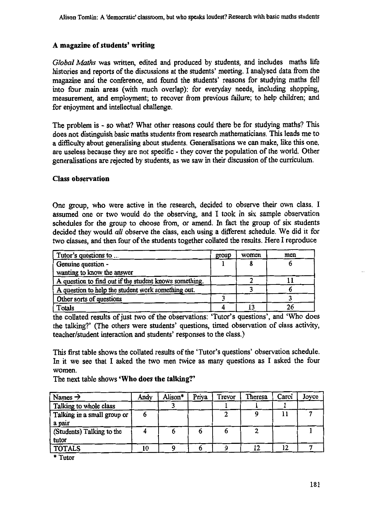## **A magazine of students' writing**

*Global Maths* was written, edited and produced by students, and includes maths life histories and reports of the discussions at the students' meeting. I analysed data from the magazine and the conference, and found the students' reasons for studying maths fell into four main areas (with much overlap): for everyday needs, including shopping, measurement, and employment; to recover from previous failure; to help children; and for enjoyment and intellectual challenge.

The problem is - so what? What other reasons could there be for studying maths? This does not distinguish basic maths students from research mathematicians. This leads me to a difficulty about generalising about students. Generalisations we can make, like this one, are useless because they are not specific - they cover the population of the world. Other generalisations are rejected by students, as we saw in their discussion of the curriculum.

#### **Class observation**

One group, who were active in the research, decided to observe their own class. I assumed one or two would do the observing, and I took in six sample observation schedules for the group to choose from, or amend. In fact the group of six students decided they would *all* observe the class, each using a different schedule. We did it for two classes, and then four of the students together collated the results. Here I reproduce

| Tutor's questions to                                   |  | women | men |
|--------------------------------------------------------|--|-------|-----|
| Genuine question -                                     |  |       |     |
| wanting to know the answer                             |  |       |     |
| A question to find out if the student knows something. |  |       |     |
| A question to help the student work something out.     |  |       |     |
| Other sorts of questions                               |  |       |     |
| Totals                                                 |  |       |     |

the collated results of just two of the observations: 'Tutor's questions', and 'Who does the talking?' (The others were students' questions, timed observation of class activity, teacher/student interaction and students' responses to the class.)

This first table shows the collated results of the 'Tutor's questions' observation schedule. In it we see that I asked the two men twice as many questions as I asked the four women.

The next table shows **'Who does the talking?'**

| Names $\rightarrow$         | Andy | Alison* | Priya | Trevor | Theresa | Carol | Joyce |
|-----------------------------|------|---------|-------|--------|---------|-------|-------|
| Talking to whole class      |      |         |       |        |         |       |       |
| Talking in a small group or |      |         |       |        |         |       |       |
| a pair                      |      |         |       |        |         |       |       |
| (Students) Talking to the   |      |         |       |        |         |       |       |
| tutor                       |      |         |       |        |         |       |       |
| <b>TOTALS</b>               | 10   |         |       |        |         | 12    |       |

**\* Tutor**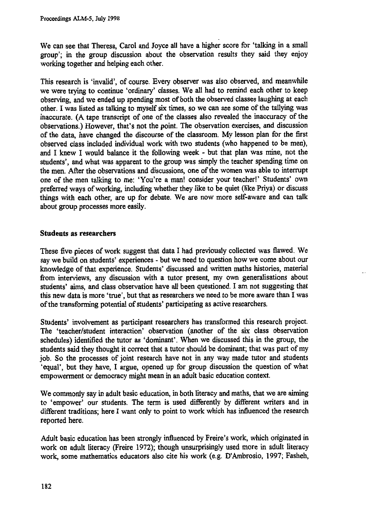**We can see that Theresa, Carol and Joyce all have a higher score for 'talking in a small group'; in the group discussion about the observation results they said they enjoy working together and helping each other.**

**This research is 'invalid', of course. Every observer was also observed, and meanwhile we were trying to continue 'ordinary' classes. We all had to remind each other to keep observing, and we ended up spending most of both the observed classes laughing at each other. I was listed as talking to myself six times, so we can see some of the tallying was inaccurate. (A tape transcript of one of the classes also revealed the inaccuracy of the observations.) However, that's not the point. The observation exercises, and discussion of the data, have changed the discourse of the classroom. My lesson plan for the first observed class included individual work with two students (who happened to be men), and I knew I would balance it the following week - but that plan was mine, not the students', and what was apparent to the group was simply the teacher spending time on the men. After the observations and discussions, one of the women was able to interrupt one of the men talking to me: 'You're a man! consider your teacher!' Students' own preferred ways of working, including whether they like to be quiet (like Priya) or discuss things with each other, are up for debate. We are now more self-aware and can talk about group processes more easily.**

### **Students as researchers**

**These five pieces of work suggest that data I had previously collected was flawed. We say we build on students' experiences - but we need to question how we come about our knowledge of that experience. Students' discussed and written maths histories, material from interviews, any discussion with a tutor present, my own generalisations about students' aims, and class observation have all been questioned. I am not suggesting that this new data is more 'true', but that as researchers we need to be more aware than I was of the transforming potential of students' participating as active researchers.**

**Students' involvement as participant researchers has transformed this research project. The 'teacher/student interaction' observation (another of the six class observation schedules) identified the tutor as 'dominant'. When we discussed this in the group, the students said they thought it correct that a tutor should be dominant; that was part of my job. So the processes of joint research have not in any way made tutor and students `equal', but they have, I argue, opened up for group discussion the question of what empowerment or democracy might mean in an adult basic education context.**

**We commonly say in adult basic education, in both literacy and maths, that we are aiming** to 'empower' our students. The term is used differently by different writers and in **different traditions; here I want only to point to work which has influenced the research reported here.**

**Adult basic education has been strongly influenced by Freire's work, which originated in work on adult literacy (Freire 1972); though unsurprisingly used more in adult literacy work, some mathematics educators also cite his work (e.g. D'Ambrosio, 1997; Fasheh,**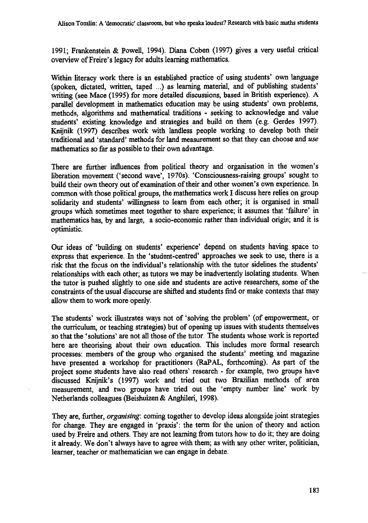**1991; Frankenstein & Powell, 1994). Diana Coben (1997) gives a very useful critical overview of Freire's legacy for adults learning mathematics.**

**Within literacy work there is an established practice of using students' own language (spoken, dictated, written, taped ...) as learning material, and of publishing students' writing (see Mace (1995) for more detailed discussions, based in British experience). A parallel development in mathematics education may be using students' own problems, methods, algorithms and mathematical traditions - seeking to acknowledge and value students' existing knowledge and strategies and build on them (e.g. Gerdes 1997). Knijnik (1997) describes work with landless people working to develop both their traditional and 'standard' methods for land measurement so that they can choose and** *use mathematics so far* **as possible to their own advantage.**

**There are further influences from political theory and organisation in the women's liberation movement (`second wave', 1970s). 'Consciousness-raising groups' sought to build their own theory out of examination of their and other women's own experience. In common with those political groups, the mathematics work I discuss here relies on group solidarity and students' willingness to learn from each other; it is organised in small groups which sometimes meet together to share experience; it assumes that 'failure' in mathematics has, by and large, a socio-economic rather than individual origin; and it is optimistic.**

**Our ideas of 'building on students' experience' depend on students having space to express that experience. In the 'student-centred' approaches we seek to use, there is a risk that the focus on the individual's relationship with the tutor sidelines the students' relationships with each other; as tutors we may be inadvertently isolating students. When the tutor is pushed slightly to one side and students are active researchers, some of the constraints of the usual discourse are shifted and students find or make contexts that may allow them to work more openly.**

**The students' work illustrates ways not of 'solving the problem' (of empowerment, or the curriculum, or teaching strategies) but of opening up issues with students themselves so that the 'solutions' are not all those of the tutor. The students whose work is reported here are theorising about their own education. This includes more formal research processes: members of the group who organised the students' meeting and magazine have presented a workshop for practitioners (RaPAL, forthcoming). As part of the project some students have also read others' research - for example, two groups have discussed Knijnik's (1997) work and tried out two Brazilian methods of area measurement, and two groups have tried out the 'empty number line' work by Netherlands colleagues (Beishuizen & Anghileri, 1998).**

**They are, further,** *organising:* **coming together to develop ideas alongside joint strategies for change. They are engaged in 'praxis': the term for the union of theory and action used by Freire and others. They are not learning from tutors how to do it; they are doing it already. We don't always have to agree with them; as with any other writer, politician, learner, teacher or mathematician we can engage in debate.**